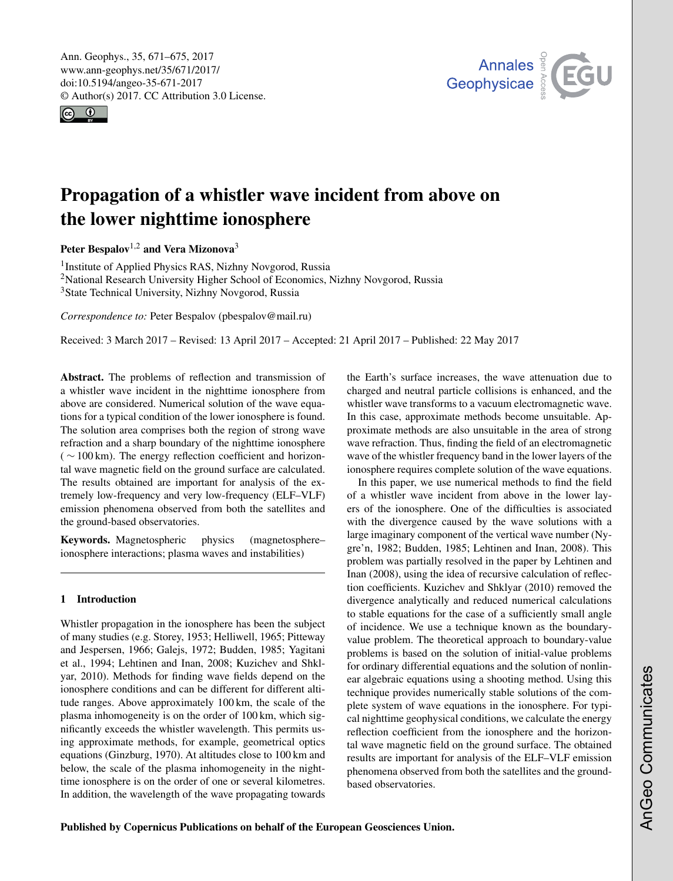<span id="page-0-1"></span>Ann. Geophys., 35, 671–675, 2017 www.ann-geophys.net/35/671/2017/ doi:10.5194/angeo-35-671-2017 © Author(s) 2017. CC Attribution 3.0 License.





# Propagation of a whistler wave incident from above on the lower nighttime ionosphere

Peter Bespalov<sup>[1,2](#page-0-0)</sup> and Vera Mizonova<sup>[3](#page-0-0)</sup>

<sup>1</sup> Institute of Applied Physics RAS, Nizhny Novgorod, Russia <sup>2</sup>National Research University Higher School of Economics, Nizhny Novgorod, Russia <sup>3</sup>State Technical University, Nizhny Novgorod, Russia

*Correspondence to:* Peter Bespalov (pbespalov@mail.ru)

Received: 3 March 2017 – Revised: 13 April 2017 – Accepted: 21 April 2017 – Published: 22 May 2017

<span id="page-0-0"></span>Abstract. The problems of reflection and transmission of a whistler wave incident in the nighttime ionosphere from above are considered. Numerical solution of the wave equations for a typical condition of the lower ionosphere is found. The solution area comprises both the region of strong wave refraction and a sharp boundary of the nighttime ionosphere  $(\sim 100 \text{ km})$ . The energy reflection coefficient and horizontal wave magnetic field on the ground surface are calculated. The results obtained are important for analysis of the extremely low-frequency and very low-frequency (ELF–VLF) emission phenomena observed from both the satellites and the ground-based observatories.

Keywords. Magnetospheric physics (magnetosphere– ionosphere interactions; plasma waves and instabilities)

# 1 Introduction

Whistler propagation in the ionosphere has been the subject of many studies (e.g. Storey, 1953; Helliwell, 1965; Pitteway and Jespersen, 1966; Galejs, 1972; Budden, 1985; Yagitani et al., 1994; Lehtinen and Inan, 2008; Kuzichev and Shklyar, 2010). Methods for finding wave fields depend on the ionosphere conditions and can be different for different altitude ranges. Above approximately 100 km, the scale of the plasma inhomogeneity is on the order of 100 km, which significantly exceeds the whistler wavelength. This permits using approximate methods, for example, geometrical optics equations (Ginzburg, 1970). At altitudes close to 100 km and below, the scale of the plasma inhomogeneity in the nighttime ionosphere is on the order of one or several kilometres. In addition, the wavelength of the wave propagating towards the Earth's surface increases, the wave attenuation due to charged and neutral particle collisions is enhanced, and the whistler wave transforms to a vacuum electromagnetic wave. In this case, approximate methods become unsuitable. Approximate methods are also unsuitable in the area of strong wave refraction. Thus, finding the field of an electromagnetic wave of the whistler frequency band in the lower layers of the ionosphere requires complete solution of the wave equations.

In this paper, we use numerical methods to find the field of a whistler wave incident from above in the lower layers of the ionosphere. One of the difficulties is associated with the divergence caused by the wave solutions with a large imaginary component of the vertical wave number (Nygre'n, 1982; Budden, 1985; Lehtinen and Inan, 2008). This problem was partially resolved in the paper by Lehtinen and Inan (2008), using the idea of recursive calculation of reflection coefficients. Kuzichev and Shklyar (2010) removed the divergence analytically and reduced numerical calculations to stable equations for the case of a sufficiently small angle of incidence. We use a technique known as the boundaryvalue problem. The theoretical approach to boundary-value problems is based on the solution of initial-value problems for ordinary differential equations and the solution of nonlinear algebraic equations using a shooting method. Using this technique provides numerically stable solutions of the complete system of wave equations in the ionosphere. For typical nighttime geophysical conditions, we calculate the energy reflection coefficient from the ionosphere and the horizontal wave magnetic field on the ground surface. The obtained results are important for analysis of the ELF–VLF emission phenomena observed from both the satellites and the groundbased observatories.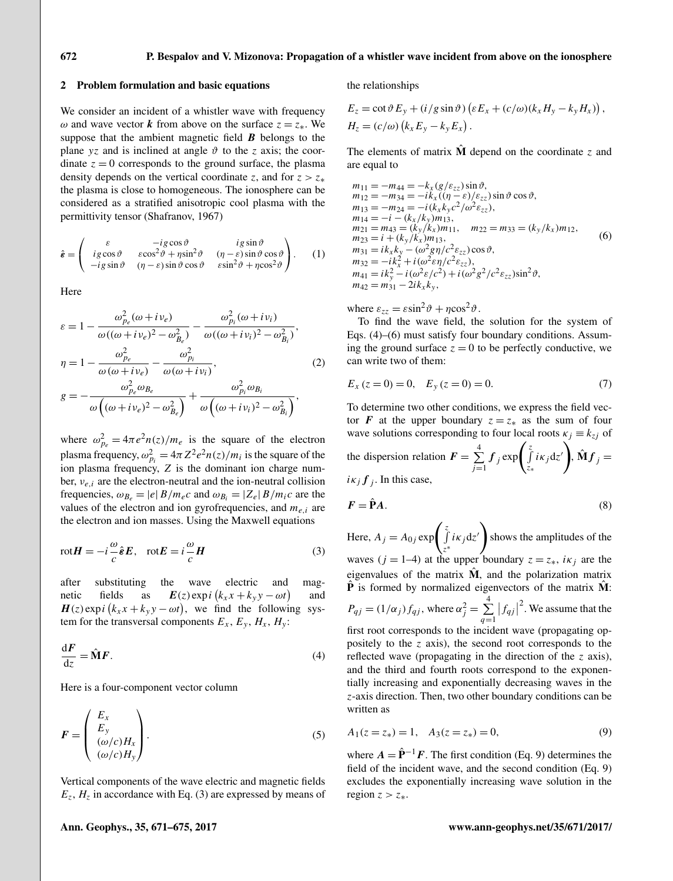#### 2 Problem formulation and basic equations

We consider an incident of a whistler wave with frequency  $\omega$  and wave vector k from above on the surface  $z = z_*$ . We suppose that the ambient magnetic field  $\boldsymbol{B}$  belongs to the plane yz and is inclined at angle  $\vartheta$  to the z axis; the coordinate  $z = 0$  corresponds to the ground surface, the plasma density depends on the vertical coordinate z, and for  $z > z_*$ the plasma is close to homogeneous. The ionosphere can be considered as a stratified anisotropic cool plasma with the permittivity tensor (Shafranov, 1967)

$$
\hat{\boldsymbol{\varepsilon}} = \begin{pmatrix}\n\varepsilon & -ig\cos\vartheta & ig\sin\vartheta \\
ig\cos\vartheta & \varepsilon\cos^2\vartheta + \eta\sin^2\vartheta & (\eta - \varepsilon)\sin\vartheta\cos\vartheta \\
-ig\sin\vartheta & (\eta - \varepsilon)\sin\vartheta\cos\vartheta & \varepsilon\sin^2\vartheta + \eta\cos^2\vartheta\n\end{pmatrix}.
$$
 (1)

Here

$$
\varepsilon = 1 - \frac{\omega_{p_e}^2(\omega + i\nu_e)}{\omega((\omega + i\nu_e)^2 - \omega_{B_e}^2)} - \frac{\omega_{p_i}^2(\omega + i\nu_i)}{\omega((\omega + i\nu_i)^2 - \omega_{B_i}^2)},
$$
  
\n
$$
\eta = 1 - \frac{\omega_{p_e}^2}{\omega(\omega + i\nu_e)} - \frac{\omega_{p_i}^2}{\omega(\omega + i\nu_i)},
$$
  
\n
$$
g = -\frac{\omega_{p_e}^2\omega_{B_e}}{\omega((\omega + i\nu_e)^2 - \omega_{B_e}^2)} + \frac{\omega_{p_i}^2\omega_{B_i}}{\omega((\omega + i\nu_i)^2 - \omega_{B_i}^2)},
$$
\n(2)

where  $\omega_{p_e}^2 = 4\pi e^2 n(z)/m_e$  is the square of the electron plasma frequency,  $\omega_{pi}^2 = 4\pi Z^2 e^2 n(z)/m_i$  is the square of the ion plasma frequency,  $Z$  is the dominant ion charge number,  $v_{e,i}$  are the electron-neutral and the ion-neutral collision frequencies,  $\omega_{B_e} = |e| B/m_e c$  and  $\omega_{B_i} = |Z_e| B/m_i c$  are the values of the electron and ion gyrofrequencies, and  $m_{e,i}$  are the electron and ion masses. Using the Maxwell equations

$$
rotH = -i\frac{\omega}{c}\hat{\boldsymbol{\varepsilon}}E, \quad rotE = i\frac{\omega}{c}H\tag{3}
$$

after substituting the wave electric and magnetic fields as  $\mathbf{E}(z) \exp i (k_x x + k_y y - \omega t)$ and  $H(z)$  exp i  $(k_x x + k_y y - \omega t)$ , we find the following system for the transversal components  $E_x$ ,  $E_y$ ,  $H_x$ ,  $H_y$ :

$$
\frac{\mathrm{d}F}{\mathrm{d}z} = \hat{\mathbf{M}}F.\tag{4}
$$

Here is a four-component vector column

$$
F = \begin{pmatrix} E_x \\ E_y \\ (\omega/c) H_x \\ (\omega/c) H_y \end{pmatrix}.
$$
 (5)

Vertical components of the wave electric and magnetic fields  $E_z$ ,  $H_z$  in accordance with Eq. (3) are expressed by means of the relationships

$$
E_z = \cot \vartheta E_y + (i/g \sin \vartheta) \left( \varepsilon E_x + (c/\omega) (k_x H_y - k_y H_x) \right),
$$
  
\n
$$
H_z = (c/\omega) (k_x E_y - k_y E_x).
$$

The elements of matrix  $\hat{\mathbf{M}}$  depend on the coordinate z and are equal to

$$
m_{11} = -m_{44} = -k_x (g/\varepsilon_{zz}) \sin \vartheta, \nm_{12} = -m_{34} = -ik_x ((\eta - \varepsilon)/\varepsilon_{zz}) \sin \vartheta \cos \vartheta, \nm_{13} = -m_{24} = -i (k_x k_y c^2/\omega^2 \varepsilon_{zz}), \nm_{14} = -i - (k_x / k_y) m_{13}, \nm_{21} = m_{43} = (k_y / k_x) m_{11}, m_{22} = m_{33} = (k_y / k_x) m_{12}, \nm_{23} = i + (k_y / k_x) m_{13}, \nm_{31} = ik_x k_y - (\omega^2 g \eta/c^2 \varepsilon_{zz}) \cos \vartheta, \nm_{32} = -ik_x^2 + i (\omega^2 \varepsilon \eta/c^2 \varepsilon_{zz}), \nm_{41} = ik_y^2 - i (\omega^2 \varepsilon/c^2) + i (\omega^2 g^2/c^2 \varepsilon_{zz}) \sin^2 \vartheta, \nm_{42} = m_{31} - 2ik_x k_y,
$$
\n(6)

where  $\varepsilon_{zz} = \varepsilon \sin^2 \theta + \eta \cos^2 \theta$ .

To find the wave field, the solution for the system of Eqs. (4)–(6) must satisfy four boundary conditions. Assuming the ground surface  $z = 0$  to be perfectly conductive, we can write two of them:

$$
E_x(z=0) = 0, \quad E_y(z=0) = 0.
$$
 (7)

To determine two other conditions, we express the field vector F at the upper boundary  $z = z_*$  as the sum of four wave solutions corresponding to four local roots  $\kappa_i \equiv k_{zi}$  of the dispersion relation  $F = \sum^4$  $\sum_{j=1}^{4} f_j \exp \left( \int_{z_0}^{z}$  $\int\limits_{z_*}^{z} i\kappa_j \mathrm{d}z'$ ,  $\hat{\mathbf{M}} \mathbf{f}_j =$  $i\kappa_j f_j$ . In this case,

$$
F = \hat{\mathbf{P}}A. \tag{8}
$$

Here,  $A_j = A_{0j} \exp \left( \int \frac{z^2}{2} \right)$  $\int\limits_{z^*}^{z} i\kappa_j \mathrm{d}z'$ shows the amplitudes of the waves ( $j = 1-4$ ) at the upper boundary  $z = z_*$ ,  $i\kappa_j$  are the eigenvalues of the matrix  $\hat{M}$ , and the polarization matrix  $\hat{\mathbf{P}}$  is formed by normalized eigenvectors of the matrix  $\hat{\mathbf{M}}$ :  $P_{qj} = (1/\alpha_j) f_{qj}$ , where  $\alpha_j^2 = \sum_{j=1}^{4}$  $q=1$  $|f_{qj}|$ 2 . We assume that the first root corresponds to the incident wave (propagating oppositely to the z axis), the second root corresponds to the reflected wave (propagating in the direction of the z axis), and the third and fourth roots correspond to the exponentially increasing and exponentially decreasing waves in the z-axis direction. Then, two other boundary conditions can be written as

$$
A_1(z = z_*) = 1, \quad A_3(z = z_*) = 0,\tag{9}
$$

where  $A = \hat{\mathbf{P}}^{-1}F$ . The first condition (Eq. 9) determines the field of the incident wave, and the second condition (Eq. 9) excludes the exponentially increasing wave solution in the region  $z > z_*$ .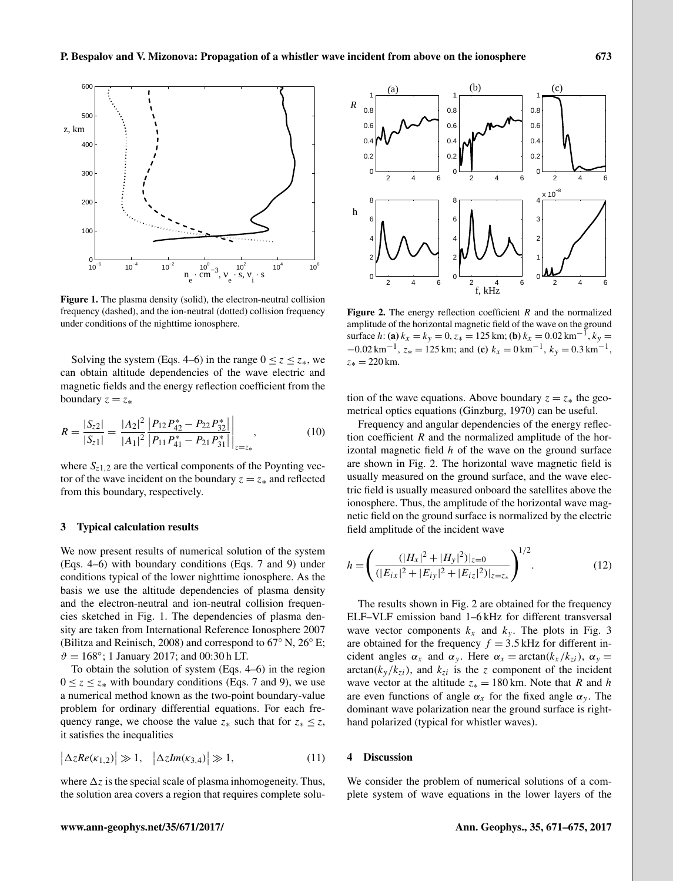

Figure 1. The plasma density (solid), the electron-neutral collision frequency (dashed), and the ion-neutral (dotted) collision frequency under conditions of the nighttime ionosphere.

Solving the system (Eqs. 4–6) in the range  $0 \le z \le z_*$ , we can obtain altitude dependencies of the wave electric and magnetic fields and the energy reflection coefficient from the boundary  $z = z_*$ 

$$
R = \frac{|S_{z2}|}{|S_{z1}|} = \frac{|A_2|^2}{|A_1|^2} \frac{|P_{12}P_{42}^* - P_{22}P_{32}^*|}{|P_{11}P_{41}^* - P_{21}P_{31}^*|} \Big|_{z=z_*},
$$
(10)

where  $S_{z1,2}$  are the vertical components of the Poynting vector of the wave incident on the boundary  $z = z_*$  and reflected from this boundary, respectively.

## 3 Typical calculation results

We now present results of numerical solution of the system (Eqs. 4–6) with boundary conditions (Eqs. 7 and 9) under conditions typical of the lower nighttime ionosphere. As the basis we use the altitude dependencies of plasma density and the electron-neutral and ion-neutral collision frequencies sketched in Fig. 1. The dependencies of plasma density are taken from International Reference Ionosphere 2007 (Bilitza and Reinisch, 2008) and correspond to 67◦ N, 26◦ E;  $\vartheta = 168^{\circ}$ ; 1 January 2017; and 00:30 h LT.

To obtain the solution of system (Eqs. 4–6) in the region  $0 \le z \le z^*$  with boundary conditions (Eqs. 7 and 9), we use a numerical method known as the two-point boundary-value problem for ordinary differential equations. For each frequency range, we choose the value  $z_*$  such that for  $z_* \leq z$ , it satisfies the inequalities

$$
\left|\Delta z Re(\kappa_{1,2})\right| \gg 1, \quad \left|\Delta z Im(\kappa_{3,4})\right| \gg 1,\tag{11}
$$

where  $\Delta z$  is the special scale of plasma inhomogeneity. Thus, the solution area covers a region that requires complete solu-



Figure 2. The energy reflection coefficient  $R$  and the normalized amplitude of the horizontal magnetic field of the wave on the ground surface h: (a)  $k_x = k_y = 0$ ,  $z_* = 125$  km; (b)  $k_x = 0.02$  km<sup>-1</sup>,  $k_y =$  $-0.02 \text{ km}^{-1}$ ,  $z_* = 125 \text{ km}$ ; and (c)  $k_x = 0 \text{ km}^{-1}$ ,  $k_y = 0.3 \text{ km}^{-1}$ ,  $z_* = 220$  km.

tion of the wave equations. Above boundary  $z = z_*$  the geometrical optics equations (Ginzburg, 1970) can be useful.

Frequency and angular dependencies of the energy reflection coefficient  $R$  and the normalized amplitude of the horizontal magnetic field  $h$  of the wave on the ground surface are shown in Fig. 2. The horizontal wave magnetic field is usually measured on the ground surface, and the wave electric field is usually measured onboard the satellites above the ionosphere. Thus, the amplitude of the horizontal wave magnetic field on the ground surface is normalized by the electric field amplitude of the incident wave

$$
h = \left( \frac{(|H_x|^2 + |H_y|^2)|_{z=0}}{(|E_{ix}|^2 + |E_{iy}|^2 + |E_{iz}|^2)|_{z=z_*}} \right)^{1/2}.
$$
 (12)

The results shown in Fig. 2 are obtained for the frequency ELF–VLF emission band 1–6 kHz for different transversal wave vector components  $k_x$  and  $k_y$ . The plots in Fig. 3 are obtained for the frequency  $f = 3.5$  kHz for different incident angles  $\alpha_x$  and  $\alpha_y$ . Here  $\alpha_x = \arctan(k_x / k_{zi})$ ,  $\alpha_y =$  $arctan(k_y / k_{zi})$ , and  $k_{zi}$  is the z component of the incident wave vector at the altitude  $z_* = 180$  km. Note that R and h are even functions of angle  $\alpha_x$  for the fixed angle  $\alpha_y$ . The dominant wave polarization near the ground surface is righthand polarized (typical for whistler waves).

## 4 Discussion

We consider the problem of numerical solutions of a complete system of wave equations in the lower layers of the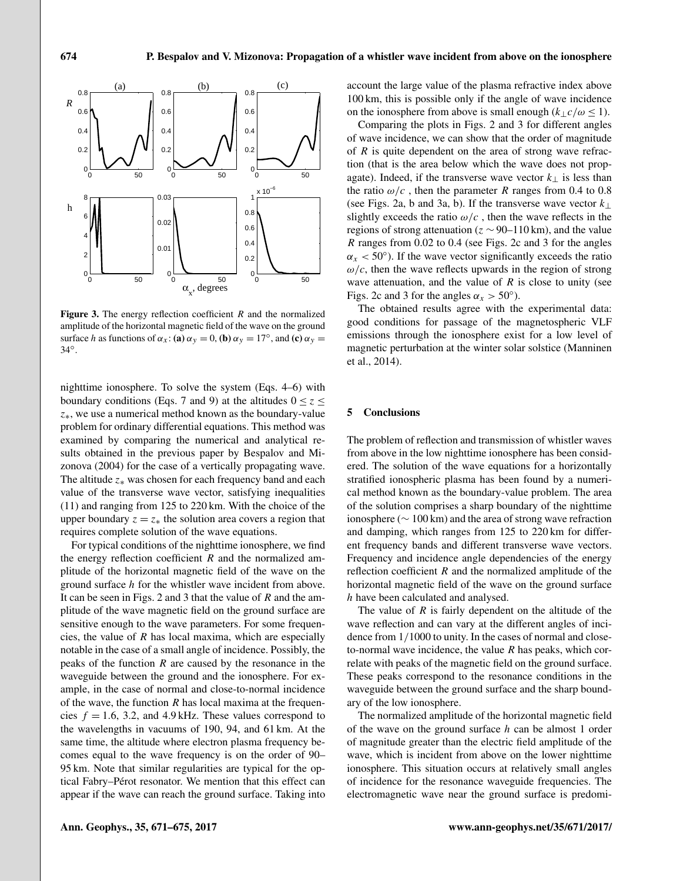

**Figure 3.** The energy reflection coefficient  $R$  and the normalized amplitude of the horizontal magnetic field of the wave on the ground surface h as functions of  $\alpha_x$ : (a)  $\alpha_y = 0$ , (b)  $\alpha_y = 17^\circ$ , and (c)  $\alpha_y =$ 34◦ .

nighttime ionosphere. To solve the system (Eqs. 4–6) with boundary conditions (Eqs. 7 and 9) at the altitudes  $0 \le z \le$ z∗, we use a numerical method known as the boundary-value problem for ordinary differential equations. This method was examined by comparing the numerical and analytical results obtained in the previous paper by Bespalov and Mizonova (2004) for the case of a vertically propagating wave. The altitude  $z_*$  was chosen for each frequency band and each value of the transverse wave vector, satisfying inequalities (11) and ranging from 125 to 220 km. With the choice of the upper boundary  $z = z_*$  the solution area covers a region that requires complete solution of the wave equations.

For typical conditions of the nighttime ionosphere, we find the energy reflection coefficient  $R$  and the normalized amplitude of the horizontal magnetic field of the wave on the ground surface h for the whistler wave incident from above. It can be seen in Figs. 2 and 3 that the value of  $R$  and the amplitude of the wave magnetic field on the ground surface are sensitive enough to the wave parameters. For some frequencies, the value of  $R$  has local maxima, which are especially notable in the case of a small angle of incidence. Possibly, the peaks of the function  $R$  are caused by the resonance in the waveguide between the ground and the ionosphere. For example, in the case of normal and close-to-normal incidence of the wave, the function  $R$  has local maxima at the frequencies  $f = 1.6$ , 3.2, and 4.9 kHz. These values correspond to the wavelengths in vacuums of 190, 94, and 61 km. At the same time, the altitude where electron plasma frequency becomes equal to the wave frequency is on the order of 90– 95 km. Note that similar regularities are typical for the optical Fabry–Pérot resonator. We mention that this effect can appear if the wave can reach the ground surface. Taking into account the large value of the plasma refractive index above 100 km, this is possible only if the angle of wave incidence on the ionosphere from above is small enough  $(k<sub>1</sub>c/\omega \le 1)$ .

Comparing the plots in Figs. 2 and 3 for different angles of wave incidence, we can show that the order of magnitude of  $R$  is quite dependent on the area of strong wave refraction (that is the area below which the wave does not propagate). Indeed, if the transverse wave vector  $k_{\perp}$  is less than the ratio  $\omega/c$ , then the parameter R ranges from 0.4 to 0.8 (see Figs. 2a, b and 3a, b). If the transverse wave vector  $k_{\perp}$ slightly exceeds the ratio  $\omega/c$ , then the wave reflects in the regions of strong attenuation ( $z \sim 90-110$  km), and the value R ranges from 0.02 to 0.4 (see Figs. 2c and 3 for the angles  $\alpha_x$  < 50°). If the wave vector significantly exceeds the ratio  $\omega/c$ , then the wave reflects upwards in the region of strong wave attenuation, and the value of  $R$  is close to unity (see Figs. 2c and 3 for the angles  $\alpha_x > 50^\circ$ ).

The obtained results agree with the experimental data: good conditions for passage of the magnetospheric VLF emissions through the ionosphere exist for a low level of magnetic perturbation at the winter solar solstice (Manninen et al., 2014).

#### 5 Conclusions

The problem of reflection and transmission of whistler waves from above in the low nighttime ionosphere has been considered. The solution of the wave equations for a horizontally stratified ionospheric plasma has been found by a numerical method known as the boundary-value problem. The area of the solution comprises a sharp boundary of the nighttime ionosphere (∼ 100 km) and the area of strong wave refraction and damping, which ranges from 125 to 220 km for different frequency bands and different transverse wave vectors. Frequency and incidence angle dependencies of the energy reflection coefficient  $R$  and the normalized amplitude of the horizontal magnetic field of the wave on the ground surface h have been calculated and analysed.

The value of  $R$  is fairly dependent on the altitude of the wave reflection and can vary at the different angles of incidence from 1/1000 to unity. In the cases of normal and closeto-normal wave incidence, the value  $R$  has peaks, which correlate with peaks of the magnetic field on the ground surface. These peaks correspond to the resonance conditions in the waveguide between the ground surface and the sharp boundary of the low ionosphere.

The normalized amplitude of the horizontal magnetic field of the wave on the ground surface  $h$  can be almost 1 order of magnitude greater than the electric field amplitude of the wave, which is incident from above on the lower nighttime ionosphere. This situation occurs at relatively small angles of incidence for the resonance waveguide frequencies. The electromagnetic wave near the ground surface is predomi-